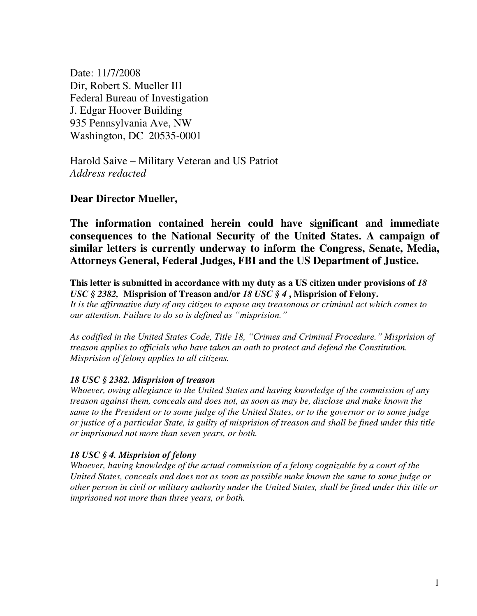Date: 11/7/2008 Dir, Robert S. Mueller III Federal Bureau of Investigation J. Edgar Hoover Building 935 Pennsylvania Ave, NW Washington, DC 20535-0001

Harold Saive – Military Veteran and US Patriot *Address redacted* 

## **Dear Director Mueller,**

**The information contained herein could have significant and immediate consequences to the National Security of the United States. A campaign of similar letters is currently underway to inform the Congress, Senate, Media, Attorneys General, Federal Judges, FBI and the US Department of Justice.**

**This letter is submitted in accordance with my duty as a US citizen under provisions of** *18 USC § 2382,* **Misprision of Treason and/or** *18 USC § 4* **, Misprision of Felony.**  *It is the affirmative duty of any citizen to expose any treasonous or criminal act which comes to our attention. Failure to do so is defined as "misprision."*

*As codified in the United States Code, Title 18, "Crimes and Criminal Procedure." Misprision of treason applies to officials who have taken an oath to protect and defend the Constitution. Misprision of felony applies to all citizens.* 

#### *18 USC § 2382. Misprision of treason*

*Whoever, owing allegiance to the United States and having knowledge of the commission of any treason against them, conceals and does not, as soon as may be, disclose and make known the same to the President or to some judge of the United States, or to the governor or to some judge or justice of a particular State, is guilty of misprision of treason and shall be fined under this title or imprisoned not more than seven years, or both.* 

#### *18 USC § 4. Misprision of felony*

*Whoever, having knowledge of the actual commission of a felony cognizable by a court of the United States, conceals and does not as soon as possible make known the same to some judge or other person in civil or military authority under the United States, shall be fined under this title or imprisoned not more than three years, or both.*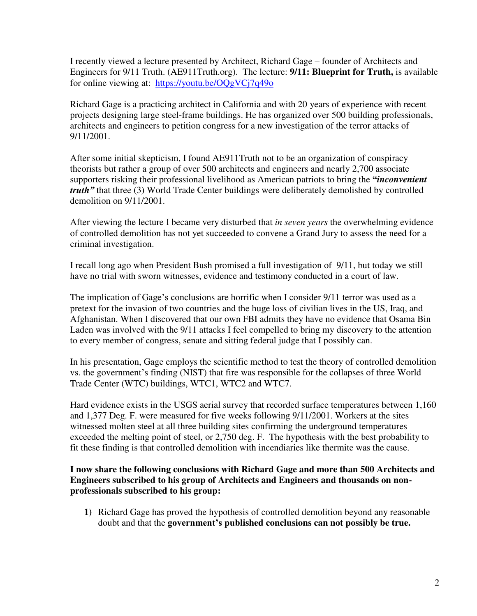I recently viewed a lecture presented by Architect, Richard Gage – founder of Architects and Engineers for 9/11 Truth. (AE911Truth.org). The lecture: **9/11: Blueprint for Truth,** is available for online viewing at: <https://youtu.be/OQgVCj7q49o>

Richard Gage is a practicing architect in California and with 20 years of experience with recent projects designing large steel-frame buildings. He has organized over 500 building professionals, architects and engineers to petition congress for a new investigation of the terror attacks of 9/11/2001.

After some initial skepticism, I found AE911Truth not to be an organization of conspiracy theorists but rather a group of over 500 architects and engineers and nearly 2,700 associate supporters risking their professional livelihood as American patriots to bring the **"***inconvenient truth"* that three (3) World Trade Center buildings were deliberately demolished by controlled demolition on 9/11/2001.

After viewing the lecture I became very disturbed that *in seven years* the overwhelming evidence of controlled demolition has not yet succeeded to convene a Grand Jury to assess the need for a criminal investigation.

I recall long ago when President Bush promised a full investigation of 9/11, but today we still have no trial with sworn witnesses, evidence and testimony conducted in a court of law.

The implication of Gage's conclusions are horrific when I consider 9/11 terror was used as a pretext for the invasion of two countries and the huge loss of civilian lives in the US, Iraq, and Afghanistan. When I discovered that our own FBI admits they have no evidence that Osama Bin Laden was involved with the 9/11 attacks I feel compelled to bring my discovery to the attention to every member of congress, senate and sitting federal judge that I possibly can.

In his presentation, Gage employs the scientific method to test the theory of controlled demolition vs. the government's finding (NIST) that fire was responsible for the collapses of three World Trade Center (WTC) buildings, WTC1, WTC2 and WTC7.

Hard evidence exists in the USGS aerial survey that recorded surface temperatures between 1,160 and 1,377 Deg. F. were measured for five weeks following 9/11/2001. Workers at the sites witnessed molten steel at all three building sites confirming the underground temperatures exceeded the melting point of steel, or 2,750 deg. F. The hypothesis with the best probability to fit these finding is that controlled demolition with incendiaries like thermite was the cause.

#### **I now share the following conclusions with Richard Gage and more than 500 Architects and Engineers subscribed to his group of Architects and Engineers and thousands on nonprofessionals subscribed to his group:**

**1)** Richard Gage has proved the hypothesis of controlled demolition beyond any reasonable doubt and that the **government's published conclusions can not possibly be true.**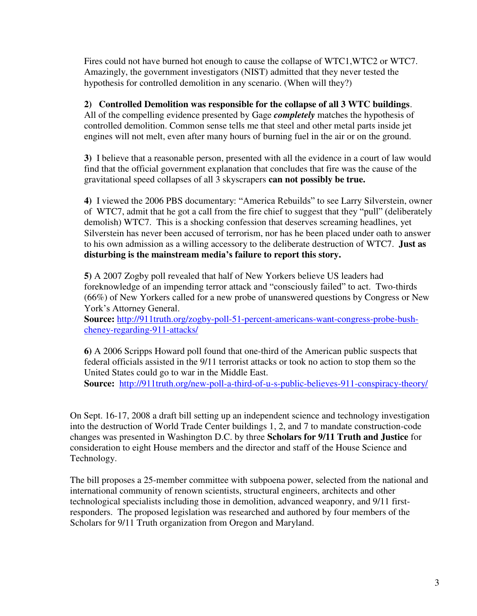Fires could not have burned hot enough to cause the collapse of WTC1,WTC2 or WTC7. Amazingly, the government investigators (NIST) admitted that they never tested the hypothesis for controlled demolition in any scenario. (When will they?)

### **2) Controlled Demolition was responsible for the collapse of all 3 WTC buildings**.

All of the compelling evidence presented by Gage *completely* matches the hypothesis of controlled demolition. Common sense tells me that steel and other metal parts inside jet engines will not melt, even after many hours of burning fuel in the air or on the ground.

**3)** I believe that a reasonable person, presented with all the evidence in a court of law would find that the official government explanation that concludes that fire was the cause of the gravitational speed collapses of all 3 skyscrapers **can not possibly be true.** 

**4)** I viewed the 2006 PBS documentary: "America Rebuilds" to see Larry Silverstein, owner of WTC7, admit that he got a call from the fire chief to suggest that they "pull" (deliberately demolish) WTC7. This is a shocking confession that deserves screaming headlines, yet Silverstein has never been accused of terrorism, nor has he been placed under oath to answer to his own admission as a willing accessory to the deliberate destruction of WTC7. **Just as disturbing is the mainstream media's failure to report this story.** 

**5)** A 2007 Zogby poll revealed that half of New Yorkers believe US leaders had foreknowledge of an impending terror attack and "consciously failed" to act. Two-thirds (66%) of New Yorkers called for a new probe of unanswered questions by Congress or New York's Attorney General.

**Source:** [http://911truth.org/zogby-poll-51-percent-americans-want-congress-probe-bush](http://911truth.org/zogby-poll-51-percent-americans-want-congress-probe-bush-cheney-regarding-911-attacks/)[cheney-regarding-911-attacks/](http://911truth.org/zogby-poll-51-percent-americans-want-congress-probe-bush-cheney-regarding-911-attacks/)

**6)** A 2006 Scripps Howard poll found that one-third of the American public suspects that federal officials assisted in the 9/11 terrorist attacks or took no action to stop them so the United States could go to war in the Middle East.

**Source:** <http://911truth.org/new-poll-a-third-of-u-s-public-believes-911-conspiracy-theory/>

On Sept. 16-17, 2008 a draft bill setting up an independent science and technology investigation into the destruction of World Trade Center buildings 1, 2, and 7 to mandate construction-code changes was presented in Washington D.C. by three **Scholars for 9/11 Truth and Justice** for consideration to eight House members and the director and staff of the House Science and Technology.

The bill proposes a 25-member committee with subpoena power, selected from the national and international community of renown scientists, structural engineers, architects and other technological specialists including those in demolition, advanced weaponry, and 9/11 firstresponders. The proposed legislation was researched and authored by four members of the Scholars for 9/11 Truth organization from Oregon and Maryland.